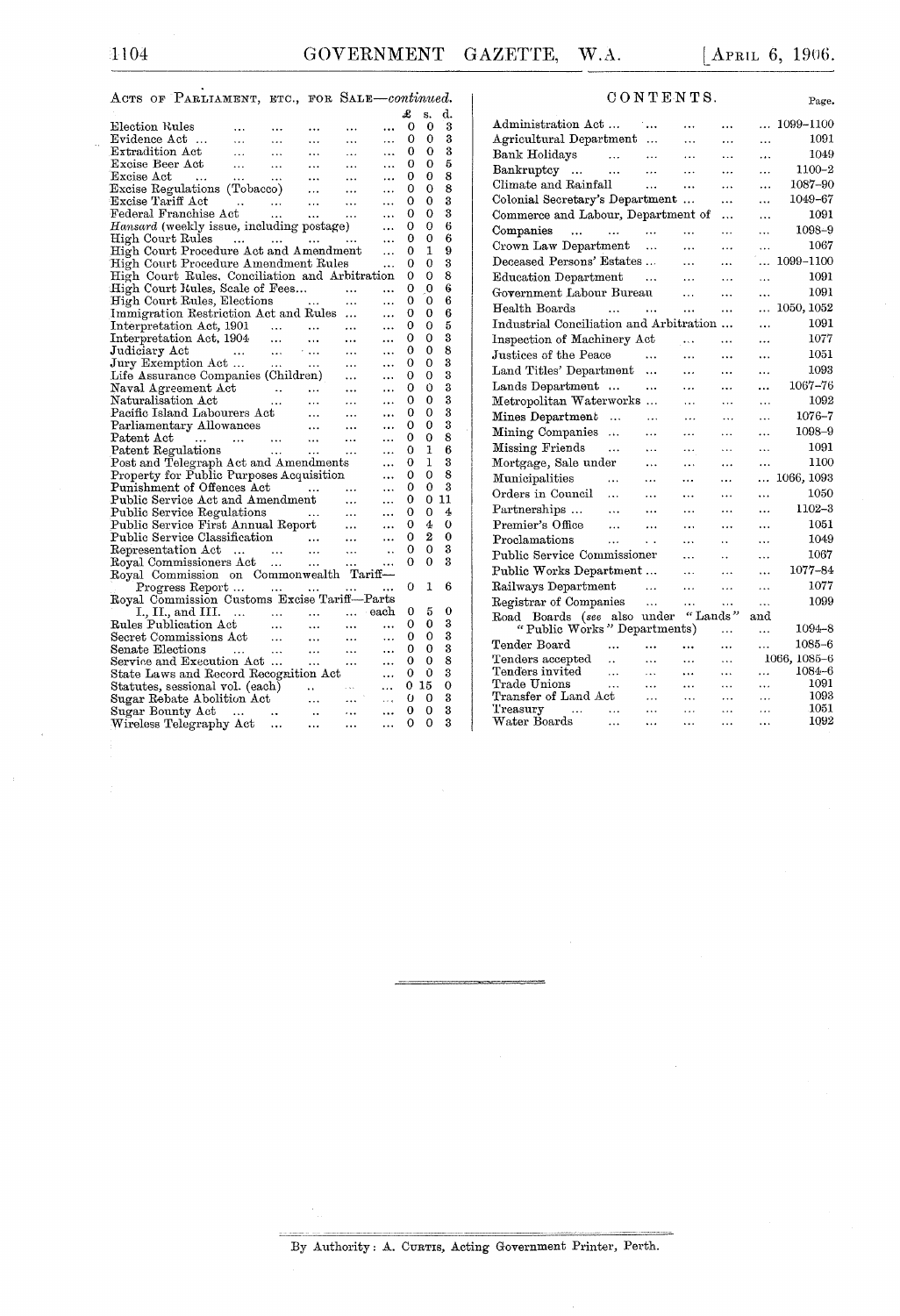Page.

| ACTS OF PARLIAMENT, ETC., FOR SALE-continued.                                                                                                                                                                                                     |                          |                 |                   |                       |   |                |        |  |
|---------------------------------------------------------------------------------------------------------------------------------------------------------------------------------------------------------------------------------------------------|--------------------------|-----------------|-------------------|-----------------------|---|----------------|--------|--|
|                                                                                                                                                                                                                                                   |                          |                 |                   |                       | £ | S.             | d.     |  |
| Election Rules<br>$\sim$ $\sim$ $\sim$                                                                                                                                                                                                            | <b>Contract Contract</b> | $\ddotsc$       | .                 | $\ddotsc$             | 0 | 0              | 3      |  |
|                                                                                                                                                                                                                                                   |                          | $\sim 10^{-11}$ | $\cdots$          | $\ddotsc$             | 0 | 0              | 3      |  |
| Evidence Act<br>Extradition Act                                                                                                                                                                                                                   |                          | $\sim 100$      | $\mathbf{1.1}$    | $\ddotsc$             | 0 | 0              | 3      |  |
| Excise Beer Act<br>$\sim 100$                                                                                                                                                                                                                     | $\sim 100$               | $\sim 100$      | <b>SALE</b>       | $\ddotsc$             | 0 | 0              | 5      |  |
|                                                                                                                                                                                                                                                   |                          |                 |                   | $\cdots$              | 0 | 0              | 8      |  |
| Excise <i>Lee Lee Lee Communist</i><br>Excise Regulations (Tobacco)<br>Excise Regulations (Tobacco)<br>Excise Tariff Act<br>Federal Franchise Act                                                                                                 |                          |                 |                   | $\cdots$              | 0 | 0              | 8      |  |
|                                                                                                                                                                                                                                                   |                          |                 |                   | $\cdots$              | 0 | 0              | 3      |  |
|                                                                                                                                                                                                                                                   |                          |                 |                   | $\ddots$              | 0 | 0              | 3      |  |
| Hansard (weekly issue, including postage)                                                                                                                                                                                                         |                          |                 |                   | $\ddotsc$             | 0 | 0              | 6      |  |
| High Court Rules<br>المتداري المتدار المتدار المتدار                                                                                                                                                                                              |                          |                 |                   | $\cdots$              | 0 | 0              | 6      |  |
| High Court Procedure Act and Amendment                                                                                                                                                                                                            |                          |                 |                   | $\ddotsc$             | 0 | 1              | 9      |  |
| High Court Procedure Amendment Rules                                                                                                                                                                                                              |                          |                 |                   | $\ldots$              | 0 | 0              | 3      |  |
| High Court Rules, Conciliation and Arbitration                                                                                                                                                                                                    |                          |                 |                   |                       | 0 | 0              | 8      |  |
|                                                                                                                                                                                                                                                   |                          |                 |                   |                       | 0 | $\overline{0}$ | 6      |  |
| High Court Kules, Scale of Fees<br>High Court Rules, Elections                                                                                                                                                                                    |                          |                 |                   | $\ddotsc$             | 0 | 0              | 6      |  |
| Immigration Restriction Act and Rules                                                                                                                                                                                                             |                          |                 |                   | .                     | 0 | 0              | 6      |  |
| Interpretation Act, 1901                                                                                                                                                                                                                          |                          |                 |                   | $\ddotsc$             | 0 | 0              | 5      |  |
|                                                                                                                                                                                                                                                   |                          |                 |                   |                       | 0 | 0              | 3      |  |
|                                                                                                                                                                                                                                                   |                          |                 |                   | $\ddotsc$             | 0 | 0              | 8      |  |
|                                                                                                                                                                                                                                                   |                          |                 |                   |                       | 0 | 0              | 3      |  |
| Interpretation Act, 1904<br>Interpretation Act, 1904<br>Judiciary Act (1904)<br>Jury Exemption Act (1904)<br>Life Assurance Companies (Children) (1905)                                                                                           |                          |                 |                   |                       | 0 | 0              | 3      |  |
|                                                                                                                                                                                                                                                   |                          |                 | $\cdots$          | $\cdots$              | 0 | 0              | 3      |  |
|                                                                                                                                                                                                                                                   |                          |                 | $\sim$ $\sim$     |                       | 0 | 0              | 3      |  |
|                                                                                                                                                                                                                                                   |                          |                 | $\ldots$          | $\cdots$              | 0 | 0              | 3      |  |
| Naval Agreement Act<br>Maval Agreement Act<br>Maturalisation Act<br>Maturalisation Act<br>Pacific Island Labourers Act<br>Parliamentary Allowances<br>Patent Regulations<br>Patent Regulations<br>Patent Regulations<br>Patent Regulations<br>Act |                          |                 |                   | $\cdots$<br>$\ddotsc$ | 0 | 0              | 3      |  |
|                                                                                                                                                                                                                                                   |                          |                 |                   |                       | 0 | 0              | 8      |  |
|                                                                                                                                                                                                                                                   |                          |                 | $\sim$ and $\sim$ |                       | 0 | 1              | 6      |  |
|                                                                                                                                                                                                                                                   |                          |                 |                   | $\cdots$              | 0 | 1              | 3      |  |
|                                                                                                                                                                                                                                                   |                          |                 |                   | $\ddots$              | 0 | 0              | 8      |  |
|                                                                                                                                                                                                                                                   |                          |                 |                   | $\ddotsc$             | 0 | 0              | 3      |  |
|                                                                                                                                                                                                                                                   |                          |                 |                   | $\ddotsc$             | 0 | 0              | 11     |  |
|                                                                                                                                                                                                                                                   |                          |                 |                   | $\ddotsc$             | 0 | 0              | 4      |  |
|                                                                                                                                                                                                                                                   |                          |                 |                   | $\ddotsc$             |   |                |        |  |
| Patent Eeguations<br>Property for Public Purposes Acquisition<br>Property for Public Purposes Acquisition<br>Public Service Act and Amendment<br>Public Service Act and Amendment<br>Public Service First Annual Report<br>Public Service         |                          |                 |                   | $\ddotsc$             | 0 | 4<br>2         | 0<br>0 |  |
|                                                                                                                                                                                                                                                   |                          |                 |                   | $\ddotsc$             | 0 | 0              | 3      |  |
|                                                                                                                                                                                                                                                   |                          |                 |                   | $\cdot$ .             | 0 |                | 3      |  |
|                                                                                                                                                                                                                                                   |                          |                 |                   | $\ddotsc$             | 0 | 0              |        |  |
| Royal Commission on Commonwealth Tariff-                                                                                                                                                                                                          |                          |                 |                   |                       |   |                |        |  |
| Progress Report                                                                                                                                                                                                                                   |                          |                 |                   | $\cdots$              | 0 | 1              | 6      |  |
| Royal Commission Customs Excise Tariff-Parts                                                                                                                                                                                                      |                          |                 |                   |                       |   |                |        |  |
|                                                                                                                                                                                                                                                   |                          |                 |                   |                       | 0 | 5              | 0      |  |
|                                                                                                                                                                                                                                                   |                          |                 |                   |                       | 0 | 0              | 3      |  |
|                                                                                                                                                                                                                                                   |                          |                 |                   |                       | 0 | 0              | 3      |  |
|                                                                                                                                                                                                                                                   |                          |                 |                   |                       | 0 | 0              | 3      |  |
|                                                                                                                                                                                                                                                   |                          |                 |                   |                       | 0 | 0              | 8      |  |
| State Laws and Record Recognition Act                                                                                                                                                                                                             |                          |                 |                   | $\ddotsc$             | 0 | 0              | 3      |  |
|                                                                                                                                                                                                                                                   |                          |                 |                   | $\cdots$              | 0 | -15            | 0      |  |
|                                                                                                                                                                                                                                                   |                          |                 |                   | $\sim$ $\sim$ $\sim$  | 0 | 0              | 3      |  |
|                                                                                                                                                                                                                                                   |                          |                 |                   | $\ddotsc$             | 0 | 0              | 3      |  |
|                                                                                                                                                                                                                                                   |                          |                 | $\cdots$          | $\ddotsc$             | 0 | 0              | 3      |  |

| CONTER |  |  |  |  |  |  |  |  |  |
|--------|--|--|--|--|--|--|--|--|--|
|--------|--|--|--|--|--|--|--|--|--|

| Administration Act                       |                          | ٠                      |           | $\ddotsc$            | .              | 1099-1100      |
|------------------------------------------|--------------------------|------------------------|-----------|----------------------|----------------|----------------|
| Agricultural Department                  |                          | .                      | .         | .                    | .              | 1091           |
| Bank Holidays                            | $\sim$                   |                        | .         | .                    |                | 1049           |
| Bankruptcy<br>$\cdots$                   |                          |                        |           |                      | .              | 1100-2         |
| Climate and Rainfall                     |                          | .                      | .         | $\ddotsc$            | .              | 1087-90        |
| Colonial Secretary's Department          |                          |                        |           | .                    | .              | 1049–67        |
| Commerce and Labour, Department of       |                          |                        |           | .                    | .              | 1091           |
| Companies<br>$\ddotsc$<br>$\sim$         |                          |                        | .         | .                    | $\ddotsc$      | 1098–9         |
| Crown Law Department                     |                          | $\ddotsc$              | $\cdots$  |                      |                | 1067           |
| Deceased Persons' Estates                |                          |                        | .         |                      |                | 1099-1100      |
| Education Department                     |                          |                        | .         | .                    | .              | 1091           |
| Government Labour Bureau                 |                          |                        | .         | .                    |                | 1091           |
| Health Boards                            | $\cdots$                 | .                      | $\cdots$  | .                    | .              | 1050, 1052     |
| Industrial Conciliation and Arbitration  |                          |                        |           |                      |                | 1091           |
| Inspection of Machinery Act              |                          |                        | $\ldots$  | .                    | .              | 1077           |
| Justices of the Peace                    |                          | .                      | .         | .                    |                | 1051           |
| Land Titles' Department                  |                          |                        | .         | .                    | .              | 1093           |
| Lands Department                         | $\cdots$                 |                        | .         | .                    |                | 1067–76        |
| Metropolitan Waterworks                  |                          | $\ddotsc$<br>$\ddotsc$ | .         | .                    | <br>.          | 1092           |
| Mines Department                         | $\ddotsc$                | .                      | $\ddotsc$ | $\ddot{\phantom{a}}$ | $\ddotsc$      | 1076-7         |
| Mining Companies                         |                          |                        |           |                      |                | 1098-9         |
|                                          | $\ddotsc$                | .                      | .         | .                    | .              | 1091           |
| Missing Friends                          |                          | .                      | .         | $\cdots$             | .              | 1100           |
| Mortgage, Sale under                     |                          | .                      | .         | .                    | .              |                |
| Municipalities                           | .                        | .                      | .         | .                    | .              | 1066, 1093     |
| Orders in Council                        | $\ddotsc$                | .                      | .         | .                    |                | 1050           |
| Partnerships                             | .                        | $\ddotsc$              | .         | .                    | .              | 1102-3         |
| Premier's Office                         | .                        | .                      | .         | .                    | .              | 1051           |
| Proclamations                            | .                        | . .                    | .         | . .                  | .              | 1049           |
| Public Service Commissioner              |                          |                        | .         | $\ddot{\phantom{0}}$ | .              | 1067           |
| Public Works Department                  |                          |                        | $\cdot$ . | .                    | .              | 1077-84        |
| Railways Department                      |                          | .                      | .         | .                    | .              | 1077           |
| Registrar of Companies                   |                          | $\ddotsc$              | .         | .                    | .              | 1099           |
| Road Boards (see also under              |                          |                        | "Lands"   |                      | $_{\rm and}$   |                |
| "Public Works" Departments)              |                          |                        |           | .                    | .              | 1094-8         |
| Tender Board                             |                          |                        |           | $\ddotsc$            | .              | $1085 - 6$     |
| Tenders accepted                         | $\ddot{\phantom{a}}$     | .                      | .         | .                    |                | 1066, 1085–6   |
| $\rm T {enders}$ invited<br>Trade Unions | .                        | .                      | .         | .                    | .              | 1084–6<br>1091 |
| Transfer of Land Act                     | .                        | .<br>.                 | .<br>.    | .<br>.               | .<br>$\ddotsc$ | 1093           |
| Treasury<br>$\cdots$                     |                          | .                      | $\ddotsc$ | .                    | .              | 1051           |
| Water Boards                             | $\overline{\phantom{a}}$ | $\ddotsc$              | $\ddotsc$ | .                    | .              | 1092           |

By Authority: A. CURTIS, Acting Government Printer, Perth.

 $\overline{a}$